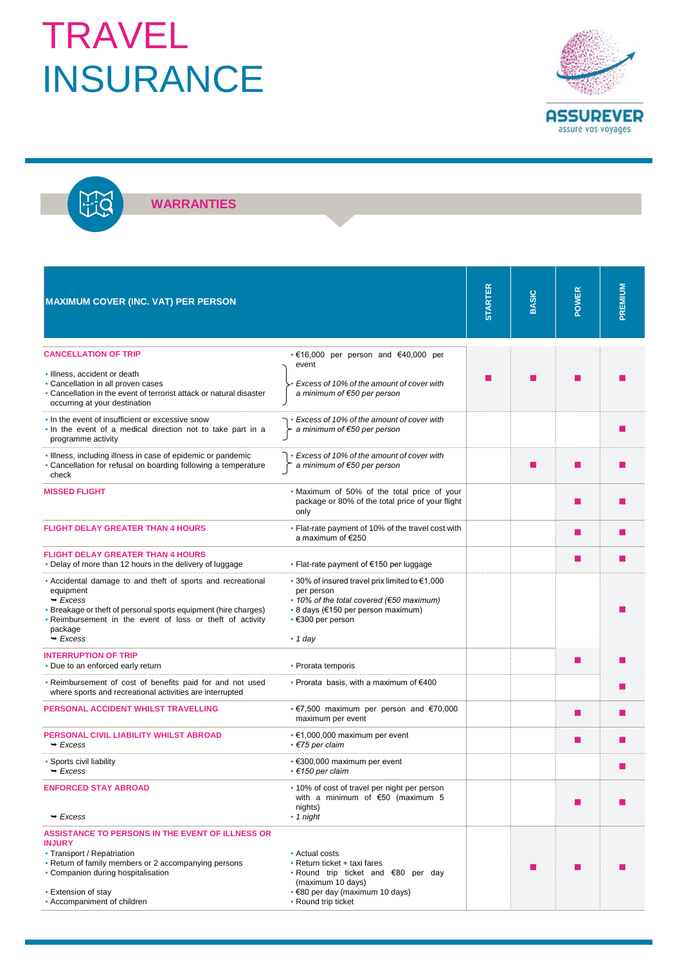## TRAVEL INSURANCE



**WARRANTIES**

改

| <b>MAXIMUM COVER (INC. VAT) PER PERSON</b>                                                                                                                                                                                                                |                                                                                                                                                                                            | <b>STARTER</b> | <b>BASIC</b> | POWER | PREMIUM |
|-----------------------------------------------------------------------------------------------------------------------------------------------------------------------------------------------------------------------------------------------------------|--------------------------------------------------------------------------------------------------------------------------------------------------------------------------------------------|----------------|--------------|-------|---------|
| <b>CANCELLATION OF TRIP</b>                                                                                                                                                                                                                               | $\cdot \in 16,000$ per person and $\in 40,000$ per                                                                                                                                         |                |              |       |         |
| · Illness, accident or death<br>• Cancellation in all proven cases<br>• Cancellation in the event of terrorist attack or natural disaster<br>occurring at your destination                                                                                | event<br>Excess of 10% of the amount of cover with<br>a minimum of €50 per person                                                                                                          |                |              |       |         |
| . In the event of insufficient or excessive snow<br>. In the event of a medical direction not to take part in a<br>programme activity                                                                                                                     | • Excess of 10% of the amount of cover with<br>a minimum of €50 per person                                                                                                                 |                |              |       |         |
| . Illness, including illness in case of epidemic or pandemic<br>• Cancellation for refusal on boarding following a temperature<br>check                                                                                                                   | • Excess of 10% of the amount of cover with<br>a minimum of €50 per person                                                                                                                 |                | п            | п     |         |
| <b>MISSED FLIGHT</b>                                                                                                                                                                                                                                      | . Maximum of 50% of the total price of your<br>package or 80% of the total price of your flight<br>only                                                                                    |                |              | ш     |         |
| <b>FLIGHT DELAY GREATER THAN 4 HOURS</b>                                                                                                                                                                                                                  | • Flat-rate payment of 10% of the travel cost with<br>a maximum of €250                                                                                                                    |                |              | ш     |         |
| <b>FLIGHT DELAY GREATER THAN 4 HOURS</b><br>• Delay of more than 12 hours in the delivery of luggage                                                                                                                                                      | • Flat-rate payment of $€150$ per luggage                                                                                                                                                  |                |              | п     |         |
| • Accidental damage to and theft of sports and recreational<br>equipment<br>$\rightarrow$ Excess<br>• Breakage or theft of personal sports equipment (hire charges)<br>. Reimbursement in the event of loss or theft of activity<br>package<br>$-$ Excess | • 30% of insured travel prix limited to €1,000<br>per person<br>• 10% of the total covered (€50 maximum)<br>• 8 days (€150 per person maximum)<br>$\cdot$ €300 per person<br>$\cdot$ 1 day |                |              |       |         |
| <b>INTERRUPTION OF TRIP</b><br>• Due to an enforced early return                                                                                                                                                                                          | • Prorata temporis                                                                                                                                                                         |                |              | a.    |         |
| . Reimbursement of cost of benefits paid for and not used<br>where sports and recreational activities are interrupted                                                                                                                                     | • Prorata basis, with a maximum of $€400$                                                                                                                                                  |                |              |       |         |
| PERSONAL ACCIDENT WHILST TRAVELLING                                                                                                                                                                                                                       | • €7,500 maximum per person and $€70,000$<br>maximum per event                                                                                                                             |                |              | ш     |         |
| PERSONAL CIVIL LIABILITY WHILST ABROAD<br>$\rightarrow$ Excess                                                                                                                                                                                            | $\cdot$ €1,000,000 maximum per event<br>$\cdot$ $\epsilon$ 75 per claim                                                                                                                    |                |              | п     |         |
| • Sports civil liability<br>$-$ Excess                                                                                                                                                                                                                    | $\cdot$ €300,000 maximum per event<br>$\cdot$ €150 per claim                                                                                                                               |                |              |       |         |
| <b>ENFORCED STAY ABROAD</b><br>$\rightarrow$ Excess                                                                                                                                                                                                       | • 10% of cost of travel per night per person<br>with a minimum of $€50$ (maximum 5<br>nights)<br>$\cdot$ 1 night                                                                           |                |              | ш     |         |
| ASSISTANCE TO PERSONS IN THE EVENT OF ILLNESS OR                                                                                                                                                                                                          |                                                                                                                                                                                            |                |              |       |         |
| <b>INJURY</b><br>• Transport / Repatriation<br>• Return of family members or 2 accompanying persons<br>• Companion during hospitalisation<br>• Extension of stay                                                                                          | • Actual costs<br>• Return ticket + taxi fares<br>• Round trip ticket and €80 per day<br>(maximum 10 days)<br>• €80 per day (maximum 10 days)                                              |                |              |       |         |
| • Accompaniment of children                                                                                                                                                                                                                               | • Round trip ticket                                                                                                                                                                        |                |              |       |         |